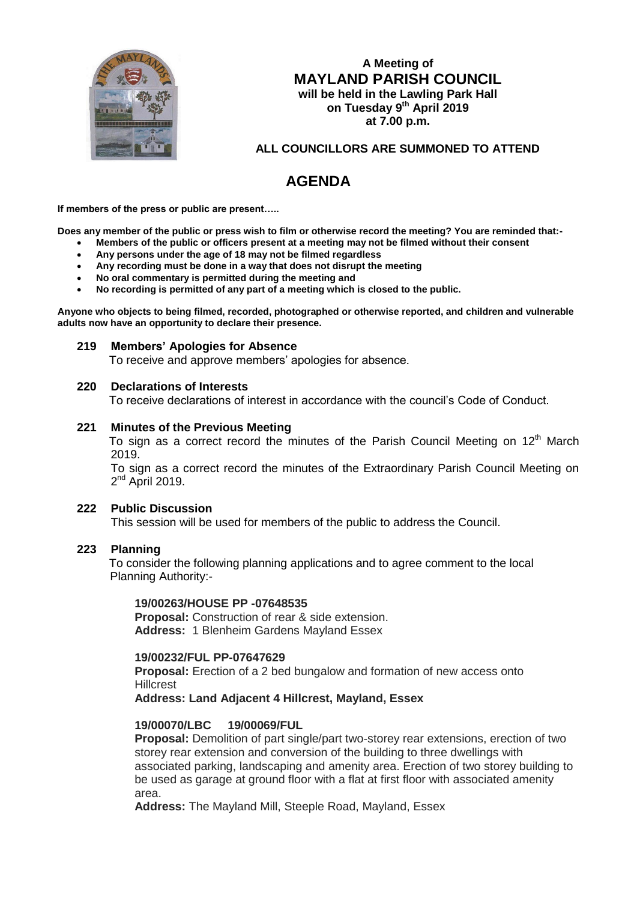

# **A Meeting of MAYLAND PARISH COUNCIL will be held in the Lawling Park Hall on Tuesday 9 th April 2019 at 7.00 p.m.**

# **ALL COUNCILLORS ARE SUMMONED TO ATTEND**

# **AGENDA**

**If members of the press or public are present…..**

**Does any member of the public or press wish to film or otherwise record the meeting? You are reminded that:-**

- **Members of the public or officers present at a meeting may not be filmed without their consent**
- **Any persons under the age of 18 may not be filmed regardless**
- **Any recording must be done in a way that does not disrupt the meeting**
- **No oral commentary is permitted during the meeting and**
- **No recording is permitted of any part of a meeting which is closed to the public.**

**Anyone who objects to being filmed, recorded, photographed or otherwise reported, and children and vulnerable adults now have an opportunity to declare their presence.**

#### **219 Members' Apologies for Absence**

To receive and approve members' apologies for absence.

#### **220 Declarations of Interests**

To receive declarations of interest in accordance with the council's Code of Conduct.

#### **221 Minutes of the Previous Meeting**

To sign as a correct record the minutes of the Parish Council Meeting on 12<sup>th</sup> March 2019.

To sign as a correct record the minutes of the Extraordinary Parish Council Meeting on  $2^{nd}$  April 2019.

#### **222 Public Discussion**

This session will be used for members of the public to address the Council.

#### **223 Planning**

 To consider the following planning applications and to agree comment to the local Planning Authority:-

#### **19/00263/HOUSE PP -07648535**

**Proposal:** Construction of rear & side extension. **Address:** 1 Blenheim Gardens Mayland Essex

#### **19/00232/FUL PP-07647629**

**Proposal:** Erection of a 2 bed bungalow and formation of new access onto **Hillcrest** 

**Address: Land Adjacent 4 Hillcrest, Mayland, Essex**

#### **19/00070/LBC 19/00069/FUL**

**Proposal:** Demolition of part single/part two-storey rear extensions, erection of two storey rear extension and conversion of the building to three dwellings with associated parking, landscaping and amenity area. Erection of two storey building to be used as garage at ground floor with a flat at first floor with associated amenity area.

**Address:** The Mayland Mill, Steeple Road, Mayland, Essex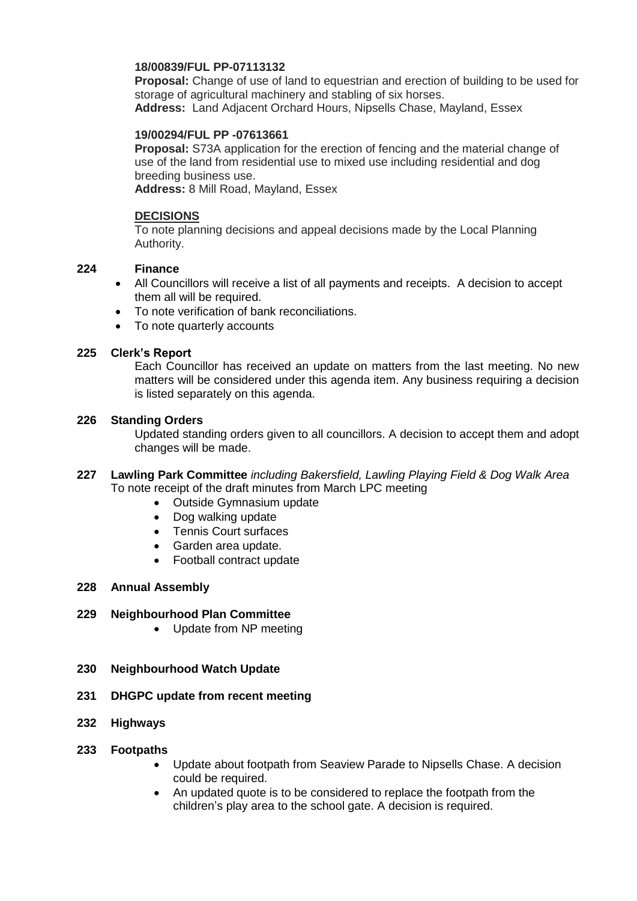## **18/00839/FUL PP-07113132**

**Proposal:** Change of use of land to equestrian and erection of building to be used for storage of agricultural machinery and stabling of six horses. **Address:** Land Adjacent Orchard Hours, Nipsells Chase, Mayland, Essex

#### **19/00294/FUL PP -07613661**

**Proposal:** S73A application for the erection of fencing and the material change of use of the land from residential use to mixed use including residential and dog breeding business use.

**Address:** 8 Mill Road, Mayland, Essex

## **DECISIONS**

To note planning decisions and appeal decisions made by the Local Planning Authority.

## **224 Finance**

- All Councillors will receive a list of all payments and receipts. A decision to accept them all will be required.
- To note verification of bank reconciliations.
- To note quarterly accounts

## **225 Clerk's Report**

Each Councillor has received an update on matters from the last meeting. No new matters will be considered under this agenda item. Any business requiring a decision is listed separately on this agenda.

## **226 Standing Orders**

Updated standing orders given to all councillors. A decision to accept them and adopt changes will be made.

- **227 Lawling Park Committee** *including Bakersfield, Lawling Playing Field & Dog Walk Area* To note receipt of the draft minutes from March LPC meeting
	- Outside Gymnasium update
	- Dog walking update
	- Tennis Court surfaces
	- Garden area update.
	- Football contract update

## **228 Annual Assembly**

## **229 Neighbourhood Plan Committee**

• Update from NP meeting

#### **230 Neighbourhood Watch Update**

- **231 DHGPC update from recent meeting**
- **232 Highways**
- **233 Footpaths**
	- Update about footpath from Seaview Parade to Nipsells Chase. A decision could be required.
	- An updated quote is to be considered to replace the footpath from the children's play area to the school gate. A decision is required.